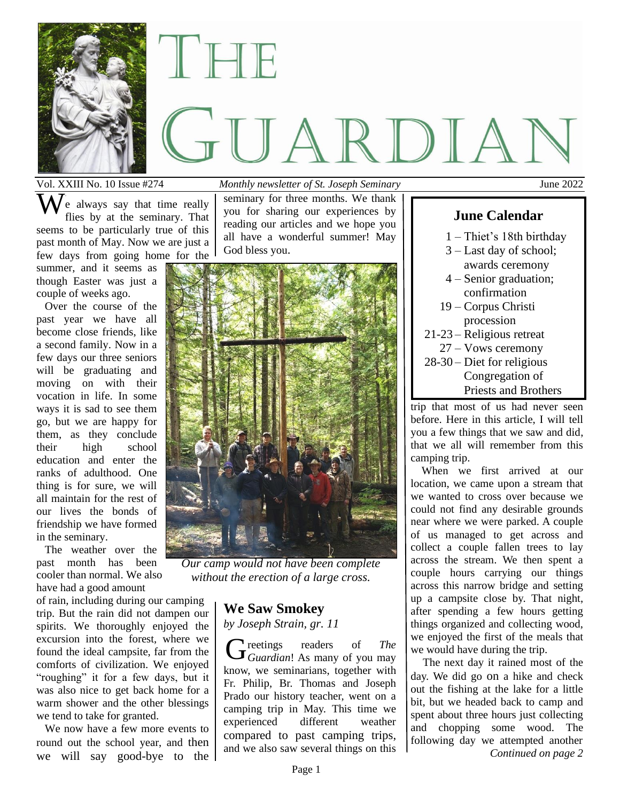

# II TEINE GUARDIAN

Vol. XXIII No. 10 Issue #274 *Monthly newsletter of St. Joseph Seminary* June 2022

. e always say that time really flies by at the seminary. That seems to be particularly true of this past month of May. Now we are just a few days from going home for the

summer, and it seems as though Easter was just a couple of weeks ago.

 Over the course of the past year we have all become close friends, like a second family. Now in a few days our three seniors will be graduating and moving on with their vocation in life. In some ways it is sad to see them go, but we are happy for them, as they conclude their high school education and enter the ranks of adulthood. One thing is for sure, we will all maintain for the rest of our lives the bonds of friendship we have formed in the seminary.

 The weather over the past month has been cooler than normal. We also have had a good amount

of rain, including during our camping trip. But the rain did not dampen our spirits. We thoroughly enjoyed the excursion into the forest, where we found the ideal campsite, far from the comforts of civilization. We enjoyed "roughing" it for a few days, but it was also nice to get back home for a warm shower and the other blessings we tend to take for granted.

 We now have a few more events to round out the school year, and then we will say good-bye to the

seminary for three months. We thank you for sharing our experiences by reading our articles and we hope you all have a wonderful summer! May God bless you. We always say that time really seminary for three months. We thank flies by at the seminary. That you for sharing our experiences by **June Calendar** 



*Our camp would not have been complete without the erection of a large cross.*

# **We Saw Smokey**

*by Joseph Strain, gr. 11*

reetings readers of *The*  Greetings readers of *The*<br>Guardian! As many of you may know, we seminarians, together with Fr. Philip, Br. Thomas and Joseph Prado our history teacher, went on a camping trip in May. This time we experienced different weather compared to past camping trips, and we also saw several things on this

- 1 Thiet's 18th birthday
- 3 Last day of school; awards ceremony
- 4 Senior graduation; confirmation
- 19 Corpus Christi procession
- 21-23 Religious retreat 27 – Vows ceremony 28-30 – Diet for religious
- Congregation of Priests and Brothers

trip that most of us had never seen before. Here in this article, I will tell you a few things that we saw and did, that we all will remember from this camping trip.

 When we first arrived at our location, we came upon a stream that we wanted to cross over because we could not find any desirable grounds near where we were parked. A couple of us managed to get across and collect a couple fallen trees to lay across the stream. We then spent a couple hours carrying our things across this narrow bridge and setting up a campsite close by. That night, after spending a few hours getting things organized and collecting wood, we enjoyed the first of the meals that we would have during the trip.

 The next day it rained most of the day. We did go on a hike and check out the fishing at the lake for a little bit, but we headed back to camp and spent about three hours just collecting and chopping some wood. The following day we attempted another *Continued on page 2*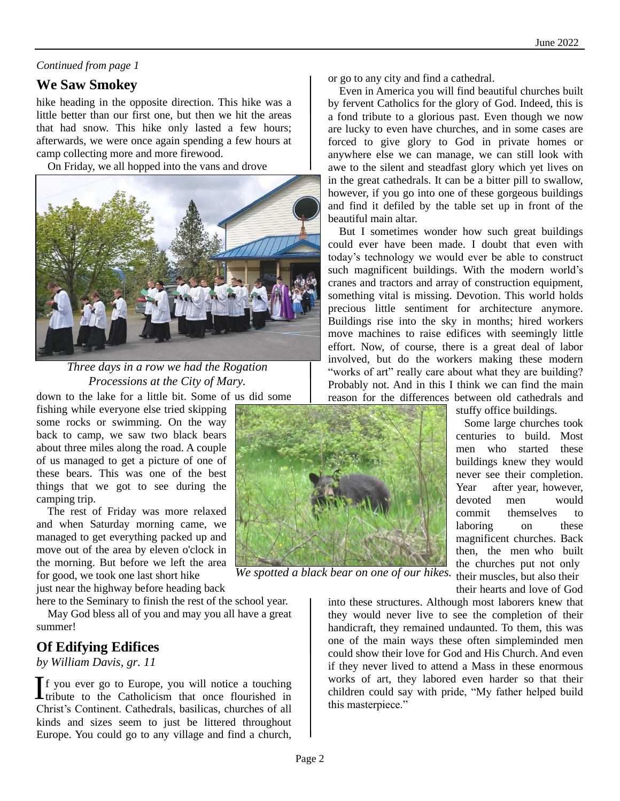#### *Continued from page 1*

### **We Saw Smokey**

hike heading in the opposite direction. This hike was a little better than our first one, but then we hit the areas that had snow. This hike only lasted a few hours; afterwards, we were once again spending a few hours at camp collecting more and more firewood.

On Friday, we all hopped into the vans and drove



*Three days in a row we had the Rogation Processions at the City of Mary.*

down to the lake for a little bit. Some of us did some fishing while everyone else tried skipping some rocks or swimming. On the way back to camp, we saw two black bears about three miles along the road. A couple of us managed to get a picture of one of these bears. This was one of the best things that we got to see during the camping trip.

 The rest of Friday was more relaxed and when Saturday morning came, we managed to get everything packed up and move out of the area by eleven o'clock in the morning. But before we left the area for good, we took one last short hike

just near the highway before heading back

here to the Seminary to finish the rest of the school year. May God bless all of you and may you all have a great summer!

# **Of Edifying Edifices**

*by William Davis, gr. 11*

f you ever go to Europe, you will notice a touching  $\int$  f you ever go to Europe, you will notice a touching tribute to the Catholicism that once flourished in Christ's Continent. Cathedrals, basilicas, churches of all kinds and sizes seem to just be littered throughout Europe. You could go to any village and find a church,

or go to any city and find a cathedral.

 Even in America you will find beautiful churches built by fervent Catholics for the glory of God. Indeed, this is a fond tribute to a glorious past. Even though we now are lucky to even have churches, and in some cases are forced to give glory to God in private homes or anywhere else we can manage, we can still look with awe to the silent and steadfast glory which yet lives on in the great cathedrals. It can be a bitter pill to swallow, however, if you go into one of these gorgeous buildings and find it defiled by the table set up in front of the beautiful main altar.

 But I sometimes wonder how such great buildings could ever have been made. I doubt that even with today's technology we would ever be able to construct such magnificent buildings. With the modern world's cranes and tractors and array of construction equipment, something vital is missing. Devotion. This world holds precious little sentiment for architecture anymore. Buildings rise into the sky in months; hired workers move machines to raise edifices with seemingly little effort. Now, of course, there is a great deal of labor involved, but do the workers making these modern "works of art" really care about what they are building? Probably not. And in this I think we can find the main reason for the differences between old cathedrals and



*We spotted a black bear on one of our hikes.*

stuffy office buildings.

 Some large churches took centuries to build. Most men who started these buildings knew they would never see their completion. Year after year, however, devoted men would commit themselves to laboring on these magnificent churches. Back then, the men who built the churches put not only their muscles, but also their their hearts and love of God

into these structures. Although most laborers knew that they would never live to see the completion of their handicraft, they remained undaunted. To them, this was one of the main ways these often simpleminded men could show their love for God and His Church. And even if they never lived to attend a Mass in these enormous works of art, they labored even harder so that their children could say with pride, "My father helped build this masterpiece."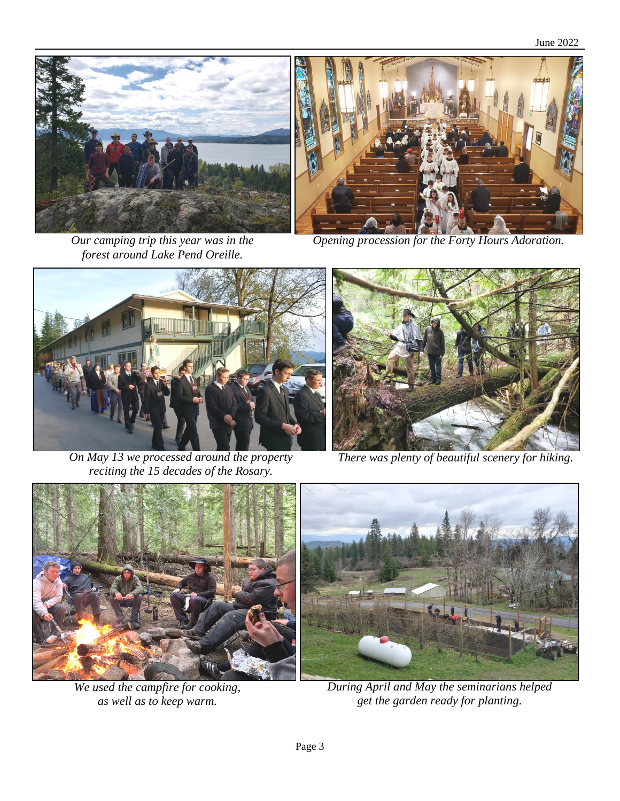June 2022





*Our camping trip this year was in the forest around Lake Pend Oreille.*

*Opening procession for the Forty Hours Adoration.*



*On May 13 we processed around the property reciting the 15 decades of the Rosary.*



*There was plenty of beautiful scenery for hiking.*



*We used the campfire for cooking, as well as to keep warm.*



*During April and May the seminarians helped get the garden ready for planting.*